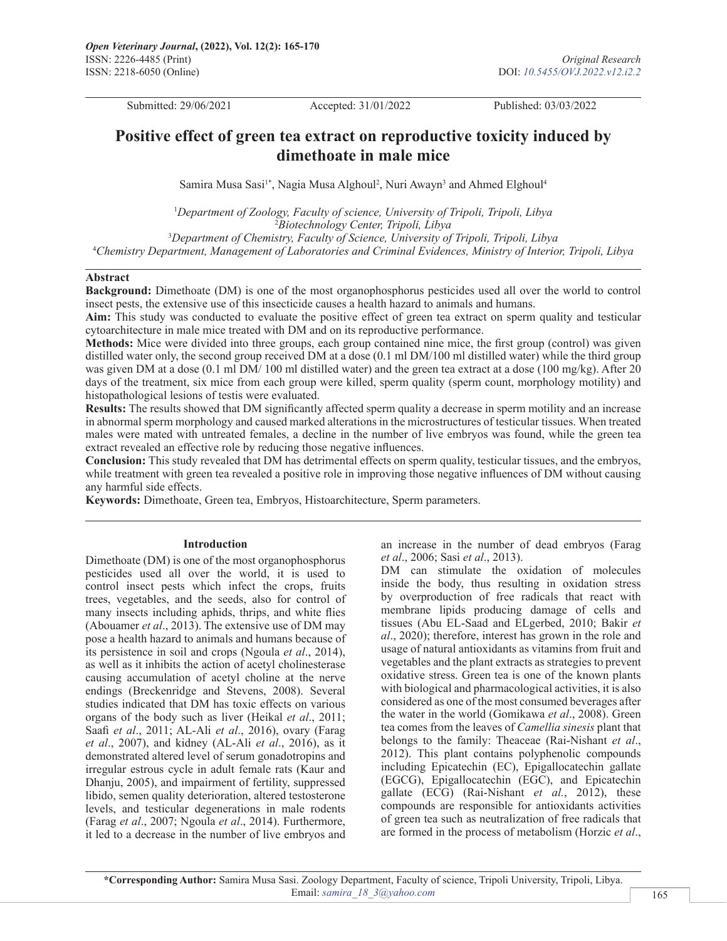Submitted: 29/06/2021 Accepted: 31/01/2022 Published: 03/03/2022

# **Positive effect of green tea extract on reproductive toxicity induced by dimethoate in male mice**

Samira Musa Sasi<sup>1\*</sup>, Nagia Musa Alghoul<sup>2</sup>, Nuri Awayn<sup>3</sup> and Ahmed Elghoul<sup>4</sup>

 *Department of Zoology, Faculty of science, University of Tripoli, Tripoli, Libya Biotechnology Center, Tripoli, Libya Department of Chemistry, Faculty of Science, University of Tripoli, Tripoli, Libya Chemistry Department, Management of Laboratories and Criminal Evidences, Ministry of Interior, Tripoli, Libya*

#### **Abstract**

**Background:** Dimethoate (DM) is one of the most organophosphorus pesticides used all over the world to control insect pests, the extensive use of this insecticide causes a health hazard to animals and humans.

**Aim:** This study was conducted to evaluate the positive effect of green tea extract on sperm quality and testicular cytoarchitecture in male mice treated with DM and on its reproductive performance.

**Methods:** Mice were divided into three groups, each group contained nine mice, the first group (control) was given distilled water only, the second group received DM at a dose (0.1 ml DM/100 ml distilled water) while the third group was given DM at a dose (0.1 ml DM/ 100 ml distilled water) and the green tea extract at a dose (100 mg/kg). After 20 days of the treatment, six mice from each group were killed, sperm quality (sperm count, morphology motility) and histopathological lesions of testis were evaluated.

**Results:** The results showed that DM significantly affected sperm quality a decrease in sperm motility and an increase in abnormal sperm morphology and caused marked alterations in the microstructures of testicular tissues. When treated males were mated with untreated females, a decline in the number of live embryos was found, while the green tea extract revealed an effective role by reducing those negative influences.

**Conclusion:** This study revealed that DM has detrimental effects on sperm quality, testicular tissues, and the embryos, while treatment with green tea revealed a positive role in improving those negative influences of DM without causing any harmful side effects.

**Keywords:** Dimethoate, Green tea, Embryos, Histoarchitecture, Sperm parameters.

#### **Introduction**

Dimethoate (DM) is one of the most organophosphorus pesticides used all over the world, it is used to control insect pests which infect the crops, fruits trees, vegetables, and the seeds, also for control of many insects including aphids, thrips, and white flies (Abouamer *et al*., 2013). The extensive use of DM may pose a health hazard to animals and humans because of its persistence in soil and crops (Ngoula *et al*., 2014), as well as it inhibits the action of acetyl cholinesterase causing accumulation of acetyl choline at the nerve endings (Breckenridge and Stevens, 2008). Several studies indicated that DM has toxic effects on various organs of the body such as liver (Heikal *et al*., 2011; Saafi *et al*., 2011; AL-Ali *et al*., 2016), ovary (Farag *et al*., 2007), and kidney (AL-Ali *et al*., 2016), as it demonstrated altered level of serum gonadotropins and irregular estrous cycle in adult female rats (Kaur and Dhanju, 2005), and impairment of fertility, suppressed libido, semen quality deterioration, altered testosterone levels, and testicular degenerations in male rodents (Farag *et al*., 2007; Ngoula *et al*., 2014). Furthermore, it led to a decrease in the number of live embryos and

an increase in the number of dead embryos (Farag *et al*., 2006; Sasi *et al*., 2013).

DM can stimulate the oxidation of molecules inside the body, thus resulting in oxidation stress by overproduction of free radicals that react with membrane lipids producing damage of cells and tissues (Abu EL-Saad and ELgerbed, 2010; Bakir *et al*., 2020); therefore, interest has grown in the role and usage of natural antioxidants as vitamins from fruit and vegetables and the plant extracts as strategies to prevent oxidative stress. Green tea is one of the known plants with biological and pharmacological activities, it is also considered as one of the most consumed beverages after the water in the world (Gomikawa *et al*., 2008). Green tea comes from the leaves of *Camellia sinesis* plant that belongs to the family: Theaceae (Rai-Nishant *et al*., 2012). This plant contains polyphenolic compounds including Epicatechin (EC), Epigallocatechin gallate (EGCG), Epigallocatechin (EGC), and Epicatechin gallate (ECG) (Rai-Nishant *et al.*, 2012), these compounds are responsible for antioxidants activities of green tea such as neutralization of free radicals that are formed in the process of metabolism (Horzic *et al*.,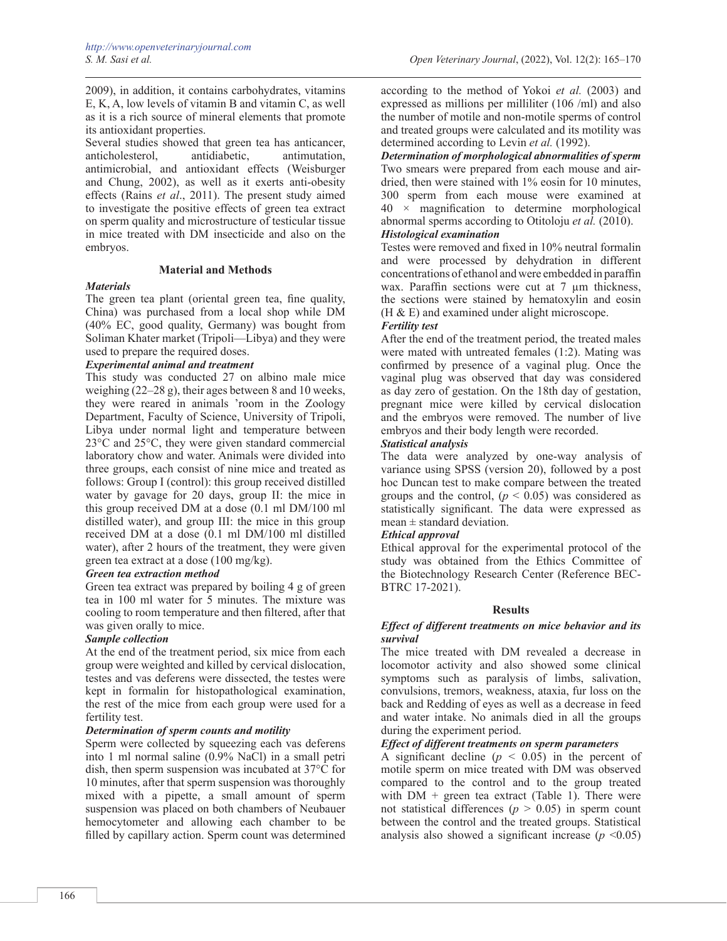2009), in addition, it contains carbohydrates, vitamins E, K, A, low levels of vitamin B and vitamin C, as well as it is a rich source of mineral elements that promote its antioxidant properties.

Several studies showed that green tea has anticancer, anticholesterol, antidiabetic, antimutation, antimicrobial, and antioxidant effects (Weisburger and Chung, 2002), as well as it exerts anti-obesity effects (Rains *et al*., 2011). The present study aimed to investigate the positive effects of green tea extract on sperm quality and microstructure of testicular tissue in mice treated with DM insecticide and also on the embryos.

## **Material and Methods**

## *Materials*

The green tea plant (oriental green tea, fine quality, China) was purchased from a local shop while DM (40% EC, good quality, Germany) was bought from Soliman Khater market (Tripoli—Libya) and they were used to prepare the required doses.

## *Experimental animal and treatment*

This study was conducted 27 on albino male mice weighing (22–28 g), their ages between 8 and 10 weeks, they were reared in animals 'room in the Zoology Department, Faculty of Science, University of Tripoli, Libya under normal light and temperature between 23°C and 25°C, they were given standard commercial laboratory chow and water. Animals were divided into three groups, each consist of nine mice and treated as follows: Group I (control): this group received distilled water by gavage for 20 days, group II: the mice in this group received DM at a dose (0.1 ml DM/100 ml distilled water), and group III: the mice in this group received DM at a dose (0.1 ml DM/100 ml distilled water), after 2 hours of the treatment, they were given green tea extract at a dose (100 mg/kg).

## *Green tea extraction method*

Green tea extract was prepared by boiling 4 g of green tea in 100 ml water for 5 minutes. The mixture was cooling to room temperature and then filtered, after that was given orally to mice.

## *Sample collection*

At the end of the treatment period, six mice from each group were weighted and killed by cervical dislocation, testes and vas deferens were dissected, the testes were kept in formalin for histopathological examination, the rest of the mice from each group were used for a fertility test.

## *Determination of sperm counts and motility*

Sperm were collected by squeezing each vas deferens into 1 ml normal saline (0.9% NaCl) in a small petri dish, then sperm suspension was incubated at 37°C for 10 minutes, after that sperm suspension was thoroughly mixed with a pipette, a small amount of sperm suspension was placed on both chambers of Neubauer hemocytometer and allowing each chamber to be filled by capillary action. Sperm count was determined

according to the method of Yokoi *et al.* (2003) and expressed as millions per milliliter (106 /ml) and also the number of motile and non-motile sperms of control and treated groups were calculated and its motility was determined according to Levin *et al.* (1992).

*Determination of morphological abnormalities of sperm* Two smears were prepared from each mouse and airdried, then were stained with 1% eosin for 10 minutes, 300 sperm from each mouse were examined at  $40 \times$  magnification to determine morphological abnormal sperms according to Otitoloju *et al.* (2010). *Histological examination*

Testes were removed and fixed in 10% neutral formalin and were processed by dehydration in different concentrations of ethanol and were embedded in paraffin wax. Paraffin sections were cut at 7  $\mu$ m thickness, the sections were stained by hematoxylin and eosin (H & E) and examined under alight microscope.

# *Fertility test*

After the end of the treatment period, the treated males were mated with untreated females (1:2). Mating was confirmed by presence of a vaginal plug. Once the vaginal plug was observed that day was considered as day zero of gestation. On the 18th day of gestation, pregnant mice were killed by cervical dislocation and the embryos were removed. The number of live embryos and their body length were recorded.

## *Statistical analysis*

The data were analyzed by one-way analysis of variance using SPSS (version 20), followed by a post hoc Duncan test to make compare between the treated groups and the control,  $(p < 0.05)$  was considered as statistically significant. The data were expressed as  $mean \pm standard deviation$ .

## *Ethical approval*

Ethical approval for the experimental protocol of the study was obtained from the Ethics Committee of the Biotechnology Research Center (Reference BEC-BTRC 17-2021).

## **Results**

## *Effect of different treatments on mice behavior and its survival*

The mice treated with DM revealed a decrease in locomotor activity and also showed some clinical symptoms such as paralysis of limbs, salivation, convulsions, tremors, weakness, ataxia, fur loss on the back and Redding of eyes as well as a decrease in feed and water intake. No animals died in all the groups during the experiment period.

## *Effect of different treatments on sperm parameters*

A significant decline  $(p < 0.05)$  in the percent of motile sperm on mice treated with DM was observed compared to the control and to the group treated with  $DM +$  green tea extract (Table 1). There were not statistical differences ( $p > 0.05$ ) in sperm count between the control and the treated groups. Statistical analysis also showed a significant increase  $(p \le 0.05)$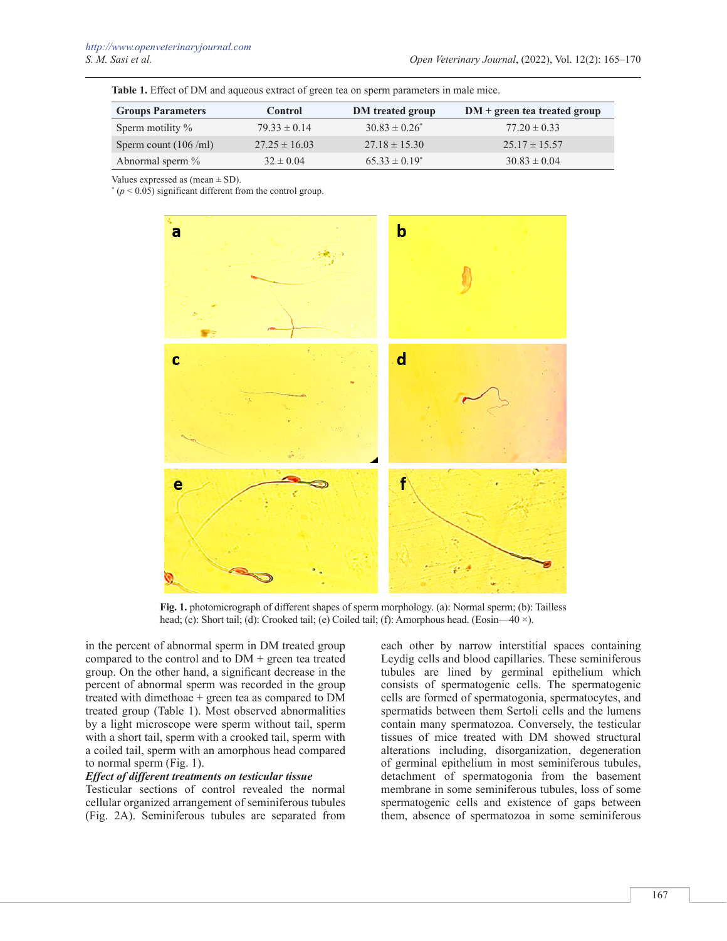**Table 1.** Effect of DM and aqueous extract of green tea on sperm parameters in male mice.

| <b>Groups Parameters</b> | <b>Control</b>    | DM treated group   | $DM + green$ tea treated group |
|--------------------------|-------------------|--------------------|--------------------------------|
| Sperm motility $\%$      | $79.33 \pm 0.14$  | $30.83 \pm 0.26^*$ | $77.20 \pm 0.33$               |
| Sperm count $(106$ /ml)  | $27.25 \pm 16.03$ | $27.18 \pm 15.30$  | $25.17 \pm 15.57$              |
| Abnormal sperm %         | $32 \pm 0.04$     | $65.33 \pm 0.19^*$ | $30.83 \pm 0.04$               |

Values expressed as (mean  $\pm$  SD).

 $*(p < 0.05)$  significant different from the control group.



**Fig. 1.** photomicrograph of different shapes of sperm morphology. (a): Normal sperm; (b): Tailless head; (c): Short tail; (d): Crooked tail; (e) Coiled tail; (f): Amorphous head. (Eosin—40 ×).

in the percent of abnormal sperm in DM treated group compared to the control and to DM + green tea treated group. On the other hand, a significant decrease in the percent of abnormal sperm was recorded in the group treated with dimethoae + green tea as compared to DM treated group (Table 1). Most observed abnormalities by a light microscope were sperm without tail, sperm with a short tail, sperm with a crooked tail, sperm with a coiled tail, sperm with an amorphous head compared to normal sperm (Fig. 1).

#### *Effect of different treatments on testicular tissue*

Testicular sections of control revealed the normal cellular organized arrangement of seminiferous tubules (Fig. 2A). Seminiferous tubules are separated from

each other by narrow interstitial spaces containing Leydig cells and blood capillaries. These seminiferous tubules are lined by germinal epithelium which consists of spermatogenic cells. The spermatogenic cells are formed of spermatogonia, spermatocytes, and spermatids between them Sertoli cells and the lumens contain many spermatozoa. Conversely, the testicular tissues of mice treated with DM showed structural alterations including, disorganization, degeneration of germinal epithelium in most seminiferous tubules, detachment of spermatogonia from the basement membrane in some seminiferous tubules, loss of some spermatogenic cells and existence of gaps between them, absence of spermatozoa in some seminiferous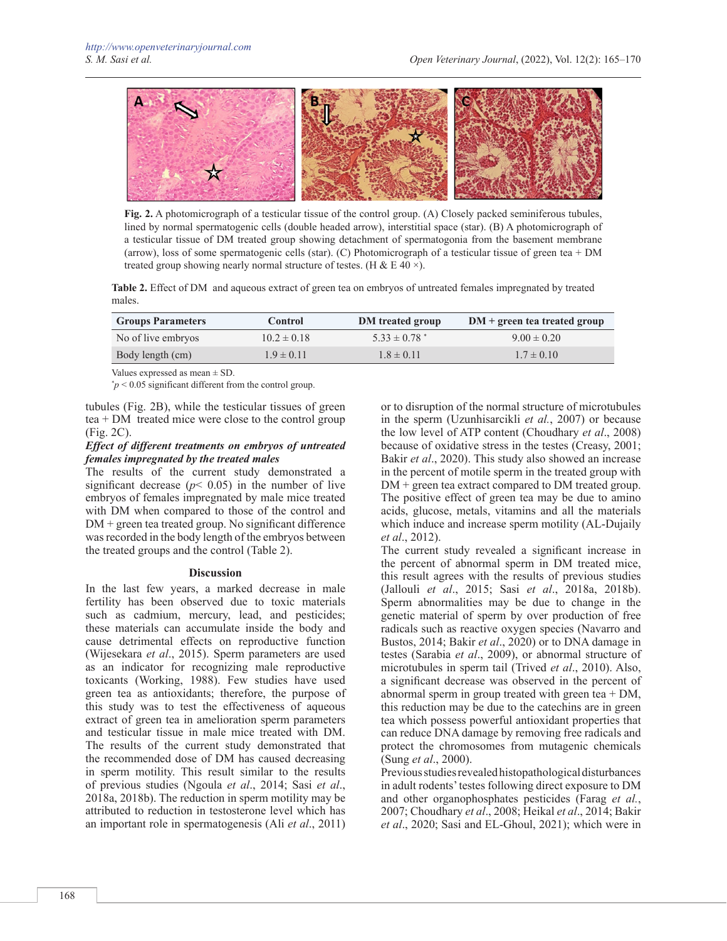

**Fig. 2.** A photomicrograph of a testicular tissue of the control group. (A) Closely packed seminiferous tubules, lined by normal spermatogenic cells (double headed arrow), interstitial space (star). (B) A photomicrograph of a testicular tissue of DM treated group showing detachment of spermatogonia from the basement membrane (arrow), loss of some spermatogenic cells (star). (C) Photomicrograph of a testicular tissue of green tea + DM treated group showing nearly normal structure of testes. (H & E 40  $\times$ ).

**Table 2.** Effect of DM and aqueous extract of green tea on embryos of untreated females impregnated by treated males.

| <b>Groups Parameters</b> | <b>Control</b>  | <b>DM</b> treated group      | $DM + green$ tea treated group |
|--------------------------|-----------------|------------------------------|--------------------------------|
| No of live embryos       | $10.2 \pm 0.18$ | $5.33 \pm 0.78$ <sup>*</sup> | $9.00 \pm 0.20$                |
| Body length (cm)         | $1.9 \pm 0.11$  | $1.8 \pm 0.11$               | $1.7 \pm 0.10$                 |

Values expressed as mean ± SD.

 $p < 0.05$  significant different from the control group.

tubules (Fig. 2B), while the testicular tissues of green tea + DM treated mice were close to the control group (Fig. 2C).

## *Effect of different treatments on embryos of untreated females impregnated by the treated males*

The results of the current study demonstrated a significant decrease ( $p$ < 0.05) in the number of live embryos of females impregnated by male mice treated with DM when compared to those of the control and DM + green tea treated group. No significant difference was recorded in the body length of the embryos between the treated groups and the control (Table 2).

## **Discussion**

In the last few years, a marked decrease in male fertility has been observed due to toxic materials such as cadmium, mercury, lead, and pesticides; these materials can accumulate inside the body and cause detrimental effects on reproductive function (Wijesekara *et al*., 2015). Sperm parameters are used as an indicator for recognizing male reproductive toxicants (Working, 1988). Few studies have used green tea as antioxidants; therefore, the purpose of this study was to test the effectiveness of aqueous extract of green tea in amelioration sperm parameters and testicular tissue in male mice treated with DM. The results of the current study demonstrated that the recommended dose of DM has caused decreasing in sperm motility. This result similar to the results of previous studies (Ngoula *et al*., 2014; Sasi *et al*., 2018a, 2018b). The reduction in sperm motility may be attributed to reduction in testosterone level which has an important role in spermatogenesis (Ali *et al*., 2011) or to disruption of the normal structure of microtubules in the sperm (Uzunhisarcikli *et al.*, 2007) or because the low level of ATP content (Choudhary *et al*., 2008) because of oxidative stress in the testes (Creasy, 2001; Bakir *et al*., 2020). This study also showed an increase in the percent of motile sperm in the treated group with DM + green tea extract compared to DM treated group. The positive effect of green tea may be due to amino acids, glucose, metals, vitamins and all the materials which induce and increase sperm motility (AL-Dujaily *et al*., 2012).

The current study revealed a significant increase in the percent of abnormal sperm in DM treated mice, this result agrees with the results of previous studies (Jallouli *et al*., 2015; Sasi *et al*., 2018a, 2018b). Sperm abnormalities may be due to change in the genetic material of sperm by over production of free radicals such as reactive oxygen species (Navarro and Bustos, 2014; Bakir *et al*., 2020) or to DNA damage in testes (Sarabia *et al*., 2009), or abnormal structure of microtubules in sperm tail (Trived *et al*., 2010). Also, a significant decrease was observed in the percent of abnormal sperm in group treated with green tea + DM, this reduction may be due to the catechins are in green tea which possess powerful antioxidant properties that can reduce DNA damage by removing free radicals and protect the chromosomes from mutagenic chemicals (Sung *et al*., 2000).

Previous studies revealed histopathological disturbances in adult rodents' testes following direct exposure to DM and other organophosphates pesticides (Farag *et al.*, 2007; Choudhary *et al*., 2008; Heikal *et al*., 2014; Bakir *et al*., 2020; Sasi and EL-Ghoul, 2021); which were in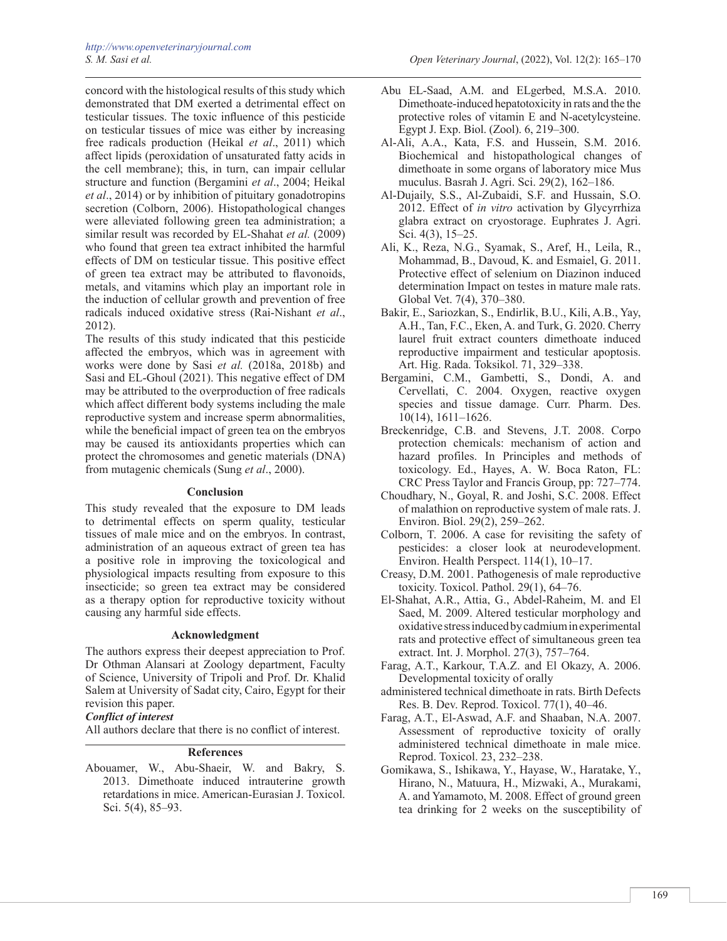concord with the histological results of this study which demonstrated that DM exerted a detrimental effect on testicular tissues. The toxic influence of this pesticide on testicular tissues of mice was either by increasing free radicals production (Heikal *et al*., 2011) which affect lipids (peroxidation of unsaturated fatty acids in the cell membrane); this, in turn, can impair cellular structure and function (Bergamini *et al*., 2004; Heikal *et al*., 2014) or by inhibition of pituitary gonadotropins secretion (Colborn, 2006). Histopathological changes were alleviated following green tea administration; a similar result was recorded by EL-Shahat *et al.* (2009) who found that green tea extract inhibited the harmful effects of DM on testicular tissue. This positive effect of green tea extract may be attributed to flavonoids, metals, and vitamins which play an important role in the induction of cellular growth and prevention of free radicals induced oxidative stress (Rai-Nishant *et al*., 2012).

The results of this study indicated that this pesticide affected the embryos, which was in agreement with works were done by Sasi *et al.* (2018a, 2018b) and Sasi and EL-Ghoul (2021). This negative effect of DM may be attributed to the overproduction of free radicals which affect different body systems including the male reproductive system and increase sperm abnormalities, while the beneficial impact of green tea on the embryos may be caused its antioxidants properties which can protect the chromosomes and genetic materials (DNA) from mutagenic chemicals (Sung *et al*., 2000).

## **Conclusion**

This study revealed that the exposure to DM leads to detrimental effects on sperm quality, testicular tissues of male mice and on the embryos. In contrast, administration of an aqueous extract of green tea has a positive role in improving the toxicological and physiological impacts resulting from exposure to this insecticide; so green tea extract may be considered as a therapy option for reproductive toxicity without causing any harmful side effects.

## **Acknowledgment**

The authors express their deepest appreciation to Prof. Dr Othman Alansari at Zoology department, Faculty of Science, University of Tripoli and Prof. Dr. Khalid Salem at University of Sadat city, Cairo, Egypt for their revision this paper.

#### *Conflict of interest*

All authors declare that there is no conflict of interest.

## **References**

Abouamer, W., Abu-Shaeir, W. and Bakry, S. 2013. Dimethoate induced intrauterine growth retardations in mice. American-Eurasian J. Toxicol. Sci. 5(4), 85–93.

- Abu EL-Saad, A.M. and ELgerbed, M.S.A. 2010. Dimethoate-induced hepatotoxicity in rats and the the protective roles of vitamin E and N-acetylcysteine. Egypt J. Exp. Biol. (Zool). 6, 219–300.
- Al-Ali, A.A., Kata, F.S. and Hussein, S.M. 2016. Biochemical and histopathological changes of dimethoate in some organs of laboratory mice Mus muculus. Basrah J. Agri. Sci. 29(2), 162–186.
- Al-Dujaily, S.S., Al-Zubaidi, S.F. and Hussain, S.O. 2012. Effect of *in vitro* activation by Glycyrrhiza glabra extract on cryostorage. Euphrates J. Agri. Sci. 4(3), 15–25.
- Ali, K., Reza, N.G., Syamak, S., Aref, H., Leila, R., Mohammad, B., Davoud, K. and Esmaiel, G. 2011. Protective effect of selenium on Diazinon induced determination Impact on testes in mature male rats. Global Vet. 7(4), 370–380.
- Bakir, E., Sariozkan, S., Endirlik, B.U., Kili, A.B., Yay, A.H., Tan, F.C., Eken, A. and Turk, G. 2020. Cherry laurel fruit extract counters dimethoate induced reproductive impairment and testicular apoptosis. Art. Hig. Rada. Toksikol. 71, 329–338.
- Bergamini, C.M., Gambetti, S., Dondi, A. and Cervellati, C. 2004. Oxygen, reactive oxygen species and tissue damage. Curr. Pharm. Des. 10(14), 1611–1626.
- Breckenridge, C.B. and Stevens, J.T. 2008. Corpo protection chemicals: mechanism of action and hazard profiles. In Principles and methods of toxicology. Ed., Hayes, A. W. Boca Raton, FL: CRC Press Taylor and Francis Group, pp: 727–774.
- Choudhary, N., Goyal, R. and Joshi, S.C. 2008. Effect of malathion on reproductive system of male rats. J. Environ. Biol. 29(2), 259–262.
- Colborn, T. 2006. A case for revisiting the safety of pesticides: a closer look at neurodevelopment. Environ. Health Perspect. 114(1), 10–17.
- Creasy, D.M. 2001. Pathogenesis of male reproductive toxicity. Toxicol. Pathol. 29(1), 64–76.
- El-Shahat, A.R., Attia, G., Abdel-Raheim, M. and El Saed, M. 2009. Altered testicular morphology and oxidative stress induced by cadmium in experimental rats and protective effect of simultaneous green tea extract. Int. J. Morphol. 27(3), 757–764.
- Farag, A.T., Karkour, T.A.Z. and El Okazy, A. 2006. Developmental toxicity of orally
- administered technical dimethoate in rats. Birth Defects Res. B. Dev. Reprod. Toxicol. 77(1), 40–46.
- Farag, A.T., El-Aswad, A.F. and Shaaban, N.A. 2007. Assessment of reproductive toxicity of orally administered technical dimethoate in male mice. Reprod. Toxicol. 23, 232–238.
- Gomikawa, S., Ishikawa, Y., Hayase, W., Haratake, Y., Hirano, N., Matuura, H., Mizwaki, A., Murakami, A. and Yamamoto, M. 2008. Effect of ground green tea drinking for 2 weeks on the susceptibility of